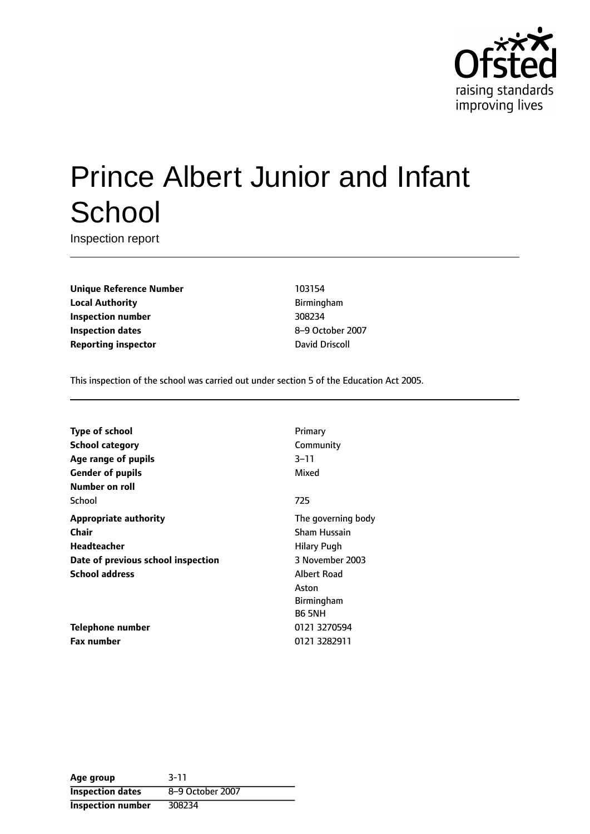

# Prince Albert Junior and Infant **School**

Inspection report

**Unique Reference Number** 103154 **Local Authority Birmingham Inspection number** 308234 **Inspection dates** 8-9 October 2007 **Reporting inspector David Driscoll** 

This inspection of the school was carried out under section 5 of the Education Act 2005.

| <b>Type of school</b>              | Primary             |
|------------------------------------|---------------------|
| School category                    | Community           |
| Age range of pupils                | $3 - 11$            |
| <b>Gender of pupils</b>            | Mixed               |
| Number on roll                     |                     |
| School                             | 725                 |
| <b>Appropriate authority</b>       | The governing body  |
| Chair                              | <b>Sham Hussain</b> |
| Headteacher                        | <b>Hilary Pugh</b>  |
| Date of previous school inspection | 3 November 2003     |
| <b>School address</b>              | Albert Road         |
|                                    | Aston               |
|                                    | <b>Birmingham</b>   |
|                                    | <b>B6 5NH</b>       |
| <b>Telephone number</b>            | 0121 3270594        |
| <b>Fax number</b>                  | 0121 3282911        |

| Age group                | $3 - 11$         |
|--------------------------|------------------|
| <b>Inspection dates</b>  | 8-9 October 2007 |
| <b>Inspection number</b> | 308234           |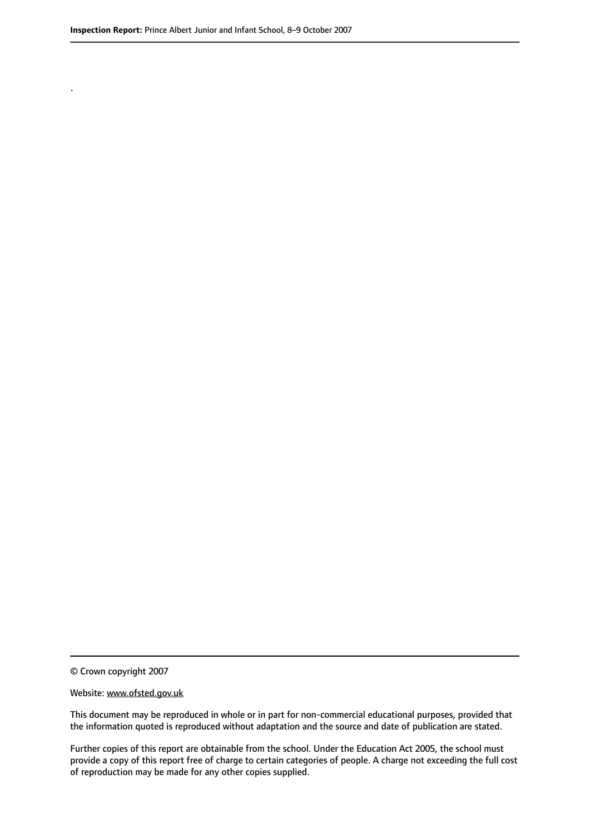.

© Crown copyright 2007

#### Website: www.ofsted.gov.uk

This document may be reproduced in whole or in part for non-commercial educational purposes, provided that the information quoted is reproduced without adaptation and the source and date of publication are stated.

Further copies of this report are obtainable from the school. Under the Education Act 2005, the school must provide a copy of this report free of charge to certain categories of people. A charge not exceeding the full cost of reproduction may be made for any other copies supplied.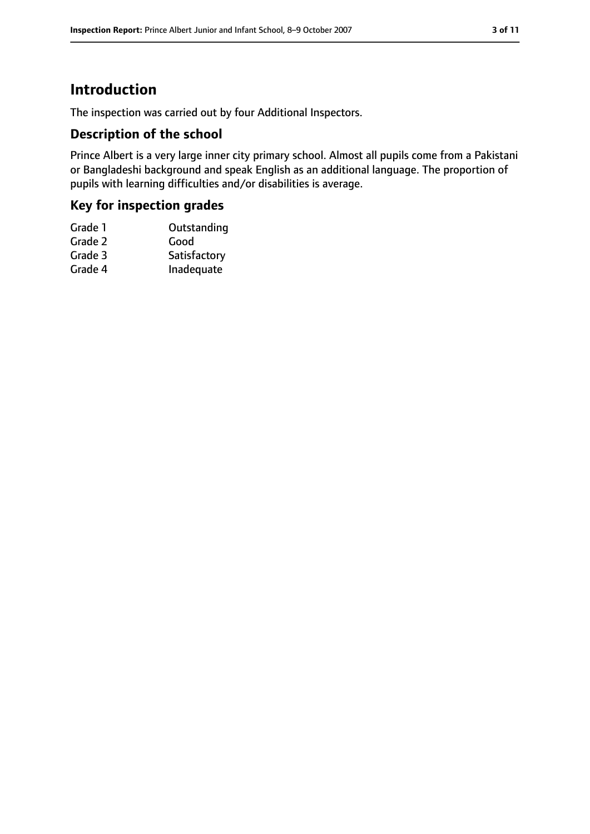# **Introduction**

The inspection was carried out by four Additional Inspectors.

## **Description of the school**

Prince Albert is a very large inner city primary school. Almost all pupils come from a Pakistani or Bangladeshi background and speak English as an additional language. The proportion of pupils with learning difficulties and/or disabilities is average.

## **Key for inspection grades**

| Grade 1 | Outstanding  |
|---------|--------------|
| Grade 2 | Good         |
| Grade 3 | Satisfactory |
| Grade 4 | Inadequate   |
|         |              |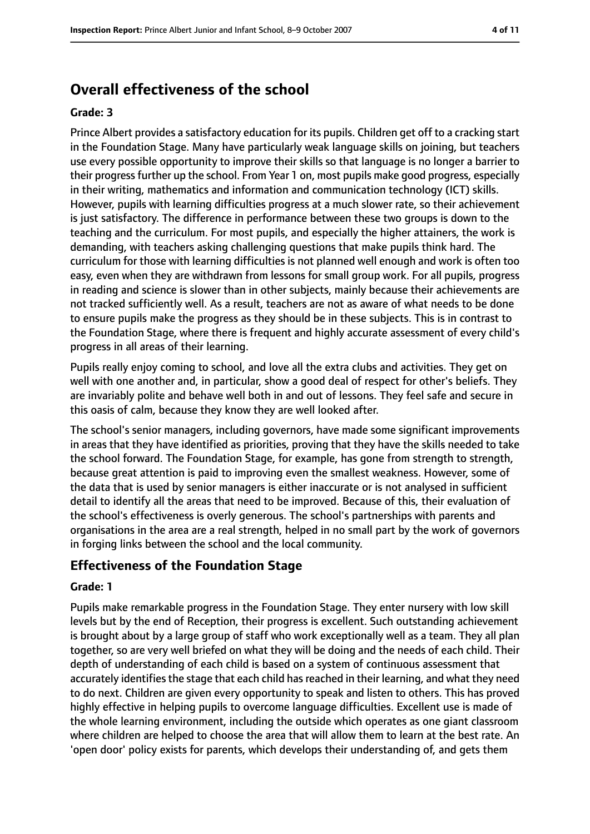# **Overall effectiveness of the school**

#### **Grade: 3**

Prince Albert provides a satisfactory education for its pupils. Children get off to a cracking start in the Foundation Stage. Many have particularly weak language skills on joining, but teachers use every possible opportunity to improve their skills so that language is no longer a barrier to their progress further up the school. From Year 1 on, most pupils make good progress, especially in their writing, mathematics and information and communication technology (ICT) skills. However, pupils with learning difficulties progress at a much slower rate, so their achievement is just satisfactory. The difference in performance between these two groups is down to the teaching and the curriculum. For most pupils, and especially the higher attainers, the work is demanding, with teachers asking challenging questions that make pupils think hard. The curriculum for those with learning difficulties is not planned well enough and work is often too easy, even when they are withdrawn from lessons for small group work. For all pupils, progress in reading and science is slower than in other subjects, mainly because their achievements are not tracked sufficiently well. As a result, teachers are not as aware of what needs to be done to ensure pupils make the progress as they should be in these subjects. This is in contrast to the Foundation Stage, where there is frequent and highly accurate assessment of every child's progress in all areas of their learning.

Pupils really enjoy coming to school, and love all the extra clubs and activities. They get on well with one another and, in particular, show a good deal of respect for other's beliefs. They are invariably polite and behave well both in and out of lessons. They feel safe and secure in this oasis of calm, because they know they are well looked after.

The school's senior managers, including governors, have made some significant improvements in areas that they have identified as priorities, proving that they have the skills needed to take the school forward. The Foundation Stage, for example, has gone from strength to strength, because great attention is paid to improving even the smallest weakness. However, some of the data that is used by senior managers is either inaccurate or is not analysed in sufficient detail to identify all the areas that need to be improved. Because of this, their evaluation of the school's effectiveness is overly generous. The school's partnerships with parents and organisations in the area are a real strength, helped in no small part by the work of governors in forging links between the school and the local community.

## **Effectiveness of the Foundation Stage**

#### **Grade: 1**

Pupils make remarkable progress in the Foundation Stage. They enter nursery with low skill levels but by the end of Reception, their progress is excellent. Such outstanding achievement is brought about by a large group of staff who work exceptionally well as a team. They all plan together, so are very well briefed on what they will be doing and the needs of each child. Their depth of understanding of each child is based on a system of continuous assessment that accurately identifies the stage that each child has reached in their learning, and what they need to do next. Children are given every opportunity to speak and listen to others. This has proved highly effective in helping pupils to overcome language difficulties. Excellent use is made of the whole learning environment, including the outside which operates as one giant classroom where children are helped to choose the area that will allow them to learn at the best rate. An 'open door' policy exists for parents, which develops their understanding of, and gets them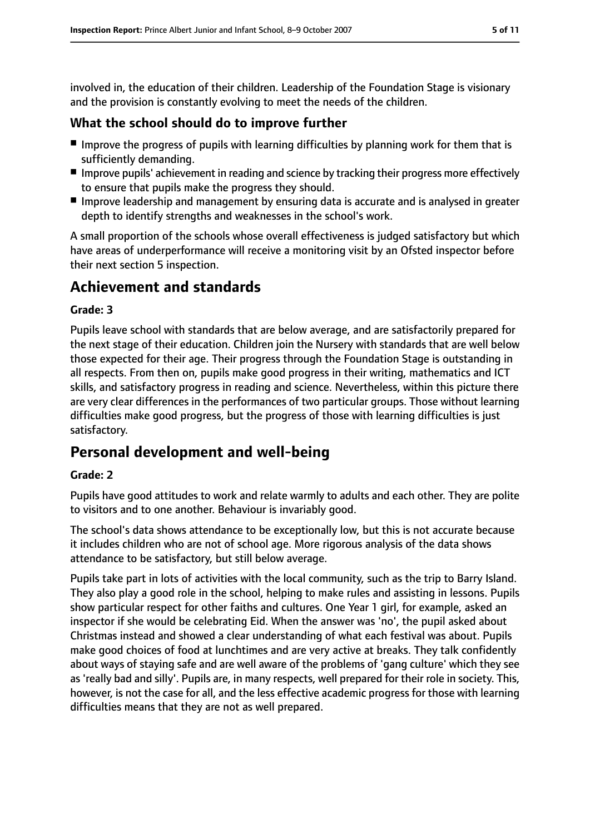involved in, the education of their children. Leadership of the Foundation Stage is visionary and the provision is constantly evolving to meet the needs of the children.

## **What the school should do to improve further**

- Improve the progress of pupils with learning difficulties by planning work for them that is sufficiently demanding.
- Improve pupils' achievement in reading and science by tracking their progress more effectively to ensure that pupils make the progress they should.
- Improve leadership and management by ensuring data is accurate and is analysed in greater depth to identify strengths and weaknesses in the school's work.

A small proportion of the schools whose overall effectiveness is judged satisfactory but which have areas of underperformance will receive a monitoring visit by an Ofsted inspector before their next section 5 inspection.

# **Achievement and standards**

#### **Grade: 3**

Pupils leave school with standards that are below average, and are satisfactorily prepared for the next stage of their education. Children join the Nursery with standards that are well below those expected for their age. Their progress through the Foundation Stage is outstanding in all respects. From then on, pupils make good progress in their writing, mathematics and ICT skills, and satisfactory progress in reading and science. Nevertheless, within this picture there are very clear differences in the performances of two particular groups. Those without learning difficulties make good progress, but the progress of those with learning difficulties is just satisfactory.

# **Personal development and well-being**

#### **Grade: 2**

Pupils have good attitudes to work and relate warmly to adults and each other. They are polite to visitors and to one another. Behaviour is invariably good.

The school's data shows attendance to be exceptionally low, but this is not accurate because it includes children who are not of school age. More rigorous analysis of the data shows attendance to be satisfactory, but still below average.

Pupils take part in lots of activities with the local community, such as the trip to Barry Island. They also play a good role in the school, helping to make rules and assisting in lessons. Pupils show particular respect for other faiths and cultures. One Year 1 girl, for example, asked an inspector if she would be celebrating Eid. When the answer was 'no', the pupil asked about Christmas instead and showed a clear understanding of what each festival was about. Pupils make good choices of food at lunchtimes and are very active at breaks. They talk confidently about ways of staying safe and are well aware of the problems of 'gang culture' which they see as 'really bad and silly'. Pupils are, in many respects, well prepared for their role in society. This, however, is not the case for all, and the less effective academic progress for those with learning difficulties means that they are not as well prepared.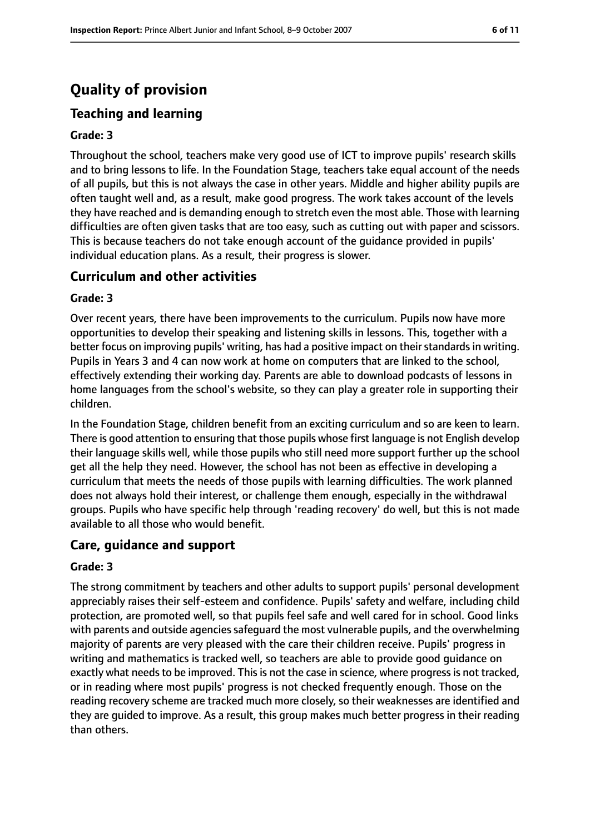# **Quality of provision**

# **Teaching and learning**

#### **Grade: 3**

Throughout the school, teachers make very good use of ICT to improve pupils' research skills and to bring lessons to life. In the Foundation Stage, teachers take equal account of the needs of all pupils, but this is not always the case in other years. Middle and higher ability pupils are often taught well and, as a result, make good progress. The work takes account of the levels they have reached and is demanding enough to stretch even the most able. Those with learning difficulties are often given tasks that are too easy, such as cutting out with paper and scissors. This is because teachers do not take enough account of the guidance provided in pupils' individual education plans. As a result, their progress is slower.

#### **Curriculum and other activities**

#### **Grade: 3**

Over recent years, there have been improvements to the curriculum. Pupils now have more opportunities to develop their speaking and listening skills in lessons. This, together with a better focus on improving pupils' writing, has had a positive impact on their standards in writing. Pupils in Years 3 and 4 can now work at home on computers that are linked to the school, effectively extending their working day. Parents are able to download podcasts of lessons in home languages from the school's website, so they can play a greater role in supporting their children.

In the Foundation Stage, children benefit from an exciting curriculum and so are keen to learn. There is good attention to ensuring that those pupils whose first language is not English develop their language skills well, while those pupils who still need more support further up the school get all the help they need. However, the school has not been as effective in developing a curriculum that meets the needs of those pupils with learning difficulties. The work planned does not always hold their interest, or challenge them enough, especially in the withdrawal groups. Pupils who have specific help through 'reading recovery' do well, but this is not made available to all those who would benefit.

#### **Care, guidance and support**

#### **Grade: 3**

The strong commitment by teachers and other adults to support pupils' personal development appreciably raises their self-esteem and confidence. Pupils' safety and welfare, including child protection, are promoted well, so that pupils feel safe and well cared for in school. Good links with parents and outside agencies safeguard the most vulnerable pupils, and the overwhelming majority of parents are very pleased with the care their children receive. Pupils' progress in writing and mathematics is tracked well, so teachers are able to provide good guidance on exactly what needs to be improved. This is not the case in science, where progress is not tracked, or in reading where most pupils' progress is not checked frequently enough. Those on the reading recovery scheme are tracked much more closely, so their weaknesses are identified and they are guided to improve. As a result, this group makes much better progress in their reading than others.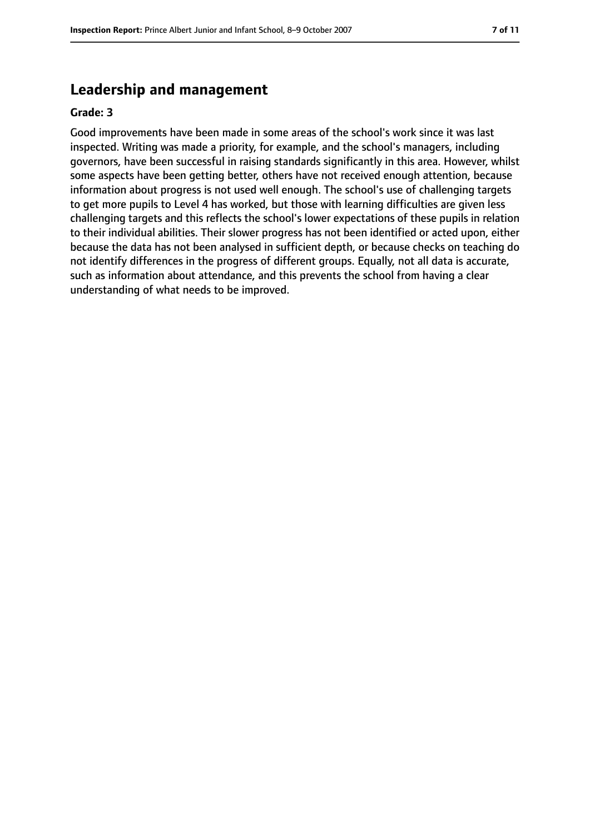## **Leadership and management**

#### **Grade: 3**

Good improvements have been made in some areas of the school's work since it was last inspected. Writing was made a priority, for example, and the school's managers, including governors, have been successful in raising standards significantly in this area. However, whilst some aspects have been getting better, others have not received enough attention, because information about progress is not used well enough. The school's use of challenging targets to get more pupils to Level 4 has worked, but those with learning difficulties are given less challenging targets and this reflects the school's lower expectations of these pupils in relation to their individual abilities. Their slower progress has not been identified or acted upon, either because the data has not been analysed in sufficient depth, or because checks on teaching do not identify differences in the progress of different groups. Equally, not all data is accurate, such as information about attendance, and this prevents the school from having a clear understanding of what needs to be improved.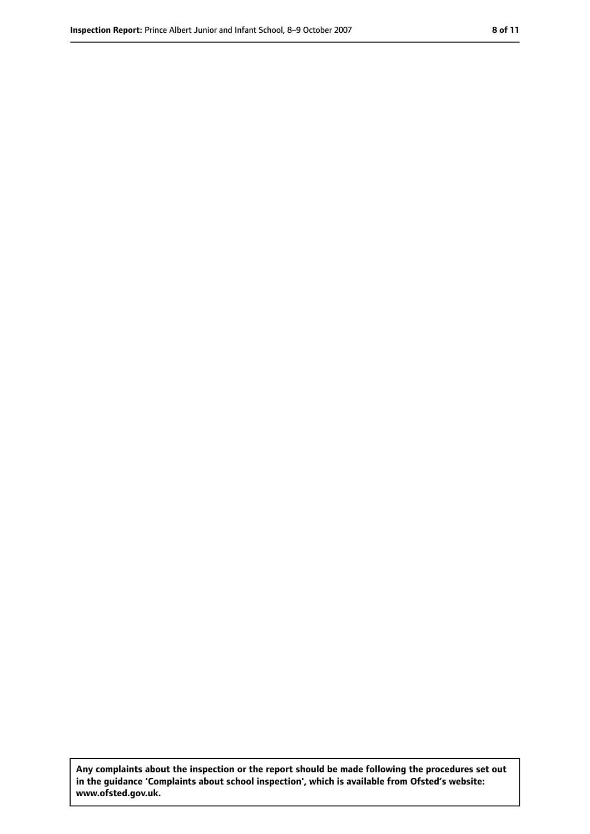**Any complaints about the inspection or the report should be made following the procedures set out in the guidance 'Complaints about school inspection', which is available from Ofsted's website: www.ofsted.gov.uk.**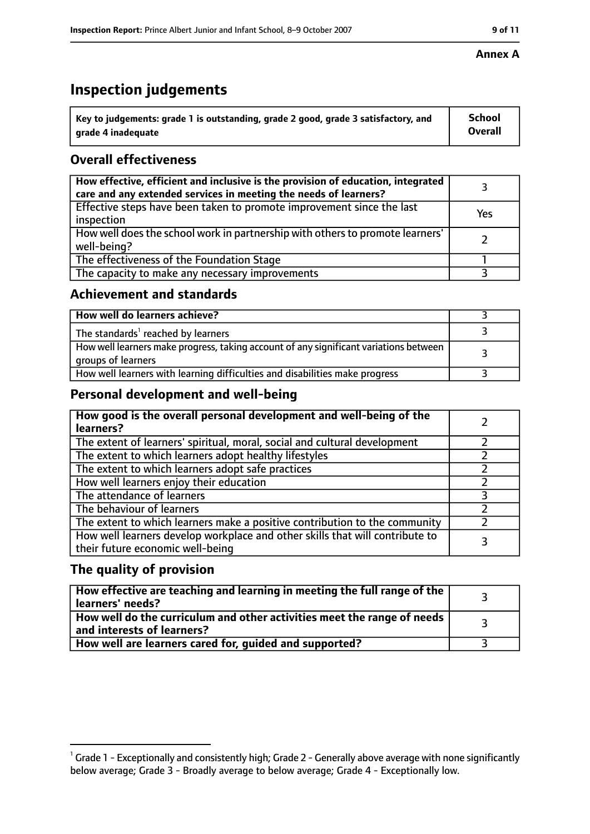# **Inspection judgements**

| $^{\backprime}$ Key to judgements: grade 1 is outstanding, grade 2 good, grade 3 satisfactory, and | <b>School</b>  |
|----------------------------------------------------------------------------------------------------|----------------|
| arade 4 inadeguate                                                                                 | <b>Overall</b> |

# **Overall effectiveness**

| How effective, efficient and inclusive is the provision of education, integrated<br>care and any extended services in meeting the needs of learners? |     |
|------------------------------------------------------------------------------------------------------------------------------------------------------|-----|
| Effective steps have been taken to promote improvement since the last<br>inspection                                                                  | Yes |
| How well does the school work in partnership with others to promote learners'<br>well-being?                                                         |     |
| The effectiveness of the Foundation Stage                                                                                                            |     |
| The capacity to make any necessary improvements                                                                                                      |     |

## **Achievement and standards**

| How well do learners achieve?                                                                               |  |
|-------------------------------------------------------------------------------------------------------------|--|
| The standards <sup>1</sup> reached by learners                                                              |  |
| How well learners make progress, taking account of any significant variations between<br>groups of learners |  |
| How well learners with learning difficulties and disabilities make progress                                 |  |

## **Personal development and well-being**

| How good is the overall personal development and well-being of the<br>learners?                                  |  |
|------------------------------------------------------------------------------------------------------------------|--|
| The extent of learners' spiritual, moral, social and cultural development                                        |  |
| The extent to which learners adopt healthy lifestyles                                                            |  |
| The extent to which learners adopt safe practices                                                                |  |
| How well learners enjoy their education                                                                          |  |
| The attendance of learners                                                                                       |  |
| The behaviour of learners                                                                                        |  |
| The extent to which learners make a positive contribution to the community                                       |  |
| How well learners develop workplace and other skills that will contribute to<br>their future economic well-being |  |

## **The quality of provision**

| How effective are teaching and learning in meeting the full range of the<br>learners' needs?          |  |
|-------------------------------------------------------------------------------------------------------|--|
| How well do the curriculum and other activities meet the range of needs<br>and interests of learners? |  |
| How well are learners cared for, guided and supported?                                                |  |

#### **Annex A**

 $^1$  Grade 1 - Exceptionally and consistently high; Grade 2 - Generally above average with none significantly below average; Grade 3 - Broadly average to below average; Grade 4 - Exceptionally low.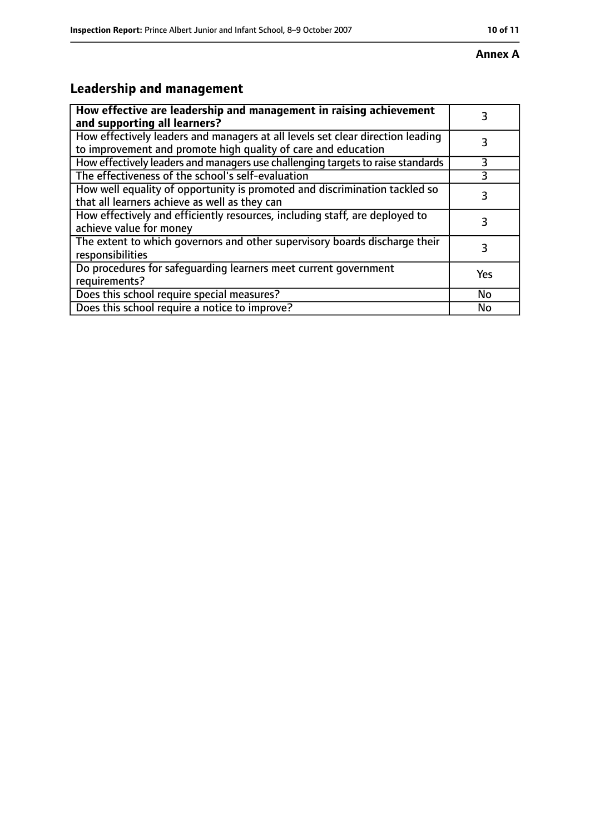#### **Annex A**

# **Leadership and management**

| How effective are leadership and management in raising achievement<br>and supporting all learners?                                              | 3         |
|-------------------------------------------------------------------------------------------------------------------------------------------------|-----------|
| How effectively leaders and managers at all levels set clear direction leading<br>to improvement and promote high quality of care and education |           |
| How effectively leaders and managers use challenging targets to raise standards                                                                 | 3         |
| The effectiveness of the school's self-evaluation                                                                                               | 3         |
| How well equality of opportunity is promoted and discrimination tackled so<br>that all learners achieve as well as they can                     | 3         |
| How effectively and efficiently resources, including staff, are deployed to<br>achieve value for money                                          | 3         |
| The extent to which governors and other supervisory boards discharge their<br>responsibilities                                                  | 3         |
| Do procedures for safequarding learners meet current government<br>requirements?                                                                | Yes       |
| Does this school require special measures?                                                                                                      | <b>No</b> |
| Does this school require a notice to improve?                                                                                                   | No        |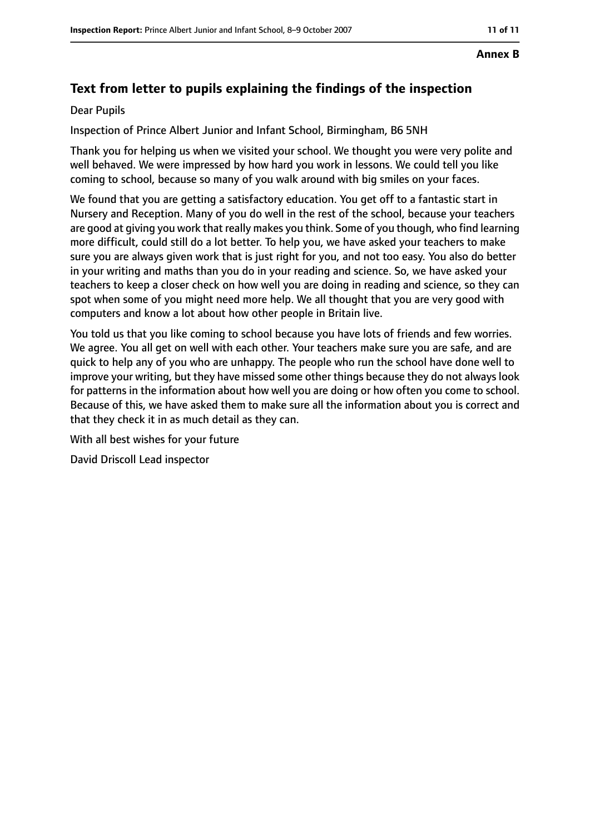#### **Annex B**

# **Text from letter to pupils explaining the findings of the inspection**

#### Dear Pupils

Inspection of Prince Albert Junior and Infant School, Birmingham, B6 5NH

Thank you for helping us when we visited your school. We thought you were very polite and well behaved. We were impressed by how hard you work in lessons. We could tell you like coming to school, because so many of you walk around with big smiles on your faces.

We found that you are getting a satisfactory education. You get off to a fantastic start in Nursery and Reception. Many of you do well in the rest of the school, because your teachers are good at giving you work that really makes you think. Some of you though, who find learning more difficult, could still do a lot better. To help you, we have asked your teachers to make sure you are always given work that is just right for you, and not too easy. You also do better in your writing and maths than you do in your reading and science. So, we have asked your teachers to keep a closer check on how well you are doing in reading and science, so they can spot when some of you might need more help. We all thought that you are very good with computers and know a lot about how other people in Britain live.

You told us that you like coming to school because you have lots of friends and few worries. We agree. You all get on well with each other. Your teachers make sure you are safe, and are quick to help any of you who are unhappy. The people who run the school have done well to improve your writing, but they have missed some other things because they do not always look for patterns in the information about how well you are doing or how often you come to school. Because of this, we have asked them to make sure all the information about you is correct and that they check it in as much detail as they can.

With all best wishes for your future

David Driscoll Lead inspector